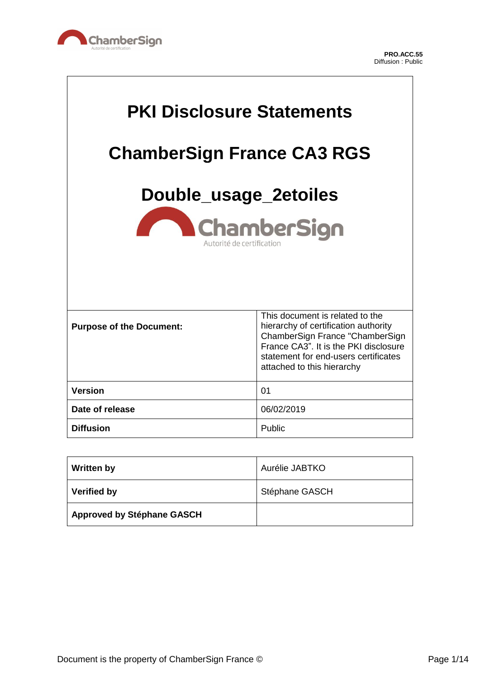

 $\Gamma$ 

 $\overline{\phantom{a}}$ 

| <b>PKI Disclosure Statements</b><br><b>ChamberSign France CA3 RGS</b><br>Double_usage_2etoiles<br><b>ChamberSign</b><br>Autorité de certification |                                                                                                                                                                                                                           |  |  |  |
|---------------------------------------------------------------------------------------------------------------------------------------------------|---------------------------------------------------------------------------------------------------------------------------------------------------------------------------------------------------------------------------|--|--|--|
| <b>Purpose of the Document:</b>                                                                                                                   | This document is related to the<br>hierarchy of certification authority<br>ChamberSign France "ChamberSign<br>France CA3". It is the PKI disclosure<br>statement for end-users certificates<br>attached to this hierarchy |  |  |  |
| <b>Version</b>                                                                                                                                    | 01                                                                                                                                                                                                                        |  |  |  |
| Date of release                                                                                                                                   | 06/02/2019                                                                                                                                                                                                                |  |  |  |
| <b>Diffusion</b><br>Public                                                                                                                        |                                                                                                                                                                                                                           |  |  |  |

| <b>Written by</b>                 | Aurélie JABTKO |
|-----------------------------------|----------------|
| <b>Verified by</b>                | Stéphane GASCH |
| <b>Approved by Stéphane GASCH</b> |                |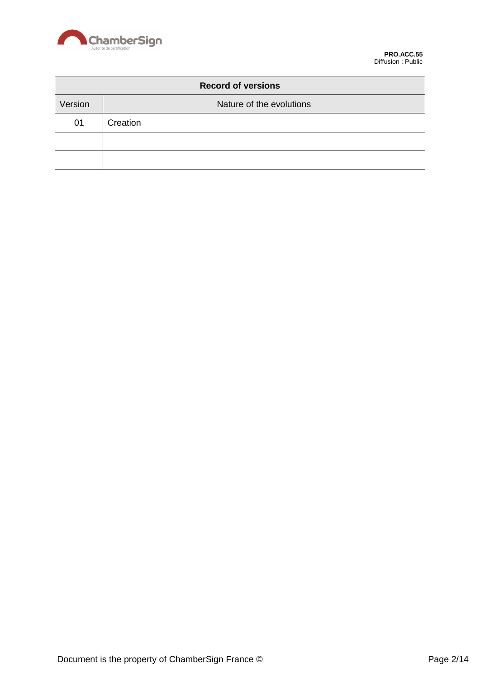

| <b>Record of versions</b> |                          |  |  |
|---------------------------|--------------------------|--|--|
| Version                   | Nature of the evolutions |  |  |
| 01                        | Creation                 |  |  |
|                           |                          |  |  |
|                           |                          |  |  |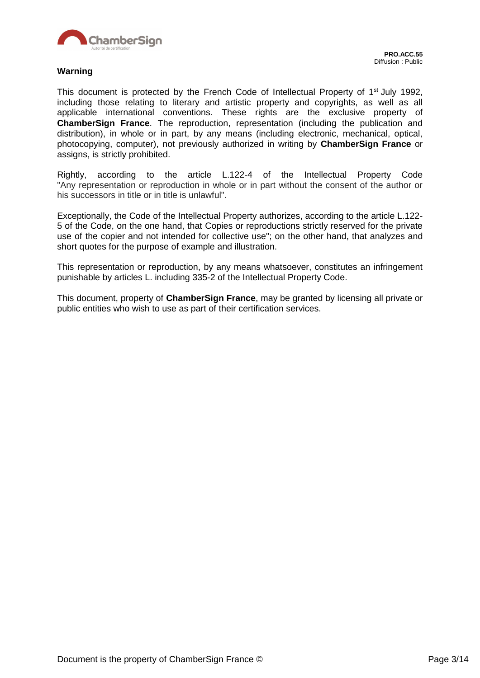

#### **Warning**

This document is protected by the French Code of Intellectual Property of 1<sup>st</sup> July 1992, including those relating to literary and artistic property and copyrights, as well as all applicable international conventions. These rights are the exclusive property of **ChamberSign France**. The reproduction, representation (including the publication and distribution), in whole or in part, by any means (including electronic, mechanical, optical, photocopying, computer), not previously authorized in writing by **ChamberSign France** or assigns, is strictly prohibited.

Rightly, according to the article L.122-4 of the Intellectual Property Code "Any representation or reproduction in whole or in part without the consent of the author or his successors in title or in title is unlawful".

Exceptionally, the Code of the Intellectual Property authorizes, according to the article L.122- 5 of the Code, on the one hand, that Copies or reproductions strictly reserved for the private use of the copier and not intended for collective use"; on the other hand, that analyzes and short quotes for the purpose of example and illustration.

This representation or reproduction, by any means whatsoever, constitutes an infringement punishable by articles L. including 335-2 of the Intellectual Property Code.

This document, property of **ChamberSign France**, may be granted by licensing all private or public entities who wish to use as part of their certification services.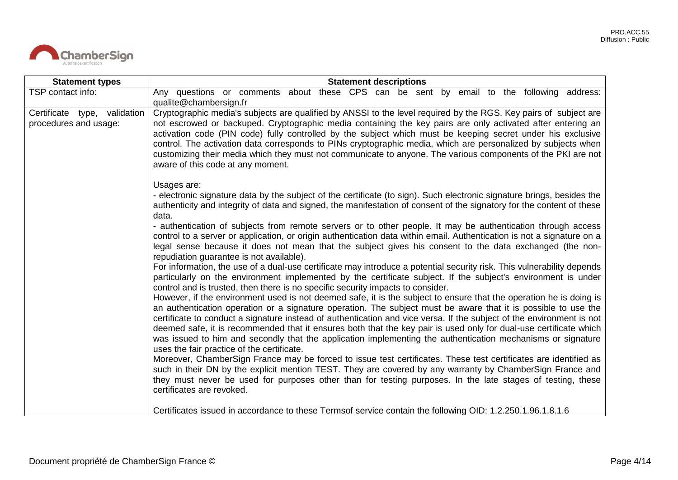

| <b>Statement types</b>                                                                                                                                                                                                                                                                                                                                                                                                                                                                                                                                                                                                                                                                                                                                                                                                                                                                                                                                                                                                                                                                                                                                                                                                                                                                                                                                                                                                                                                                                                                                                                                                                                                                                                                                                                                                                                                                                                                                                                                                                | <b>Statement descriptions</b>                                                                                                                                                                                                                                                                                                                                                                                                                                                                                                                                                                                        |  |  |  |  |  |  |  |
|---------------------------------------------------------------------------------------------------------------------------------------------------------------------------------------------------------------------------------------------------------------------------------------------------------------------------------------------------------------------------------------------------------------------------------------------------------------------------------------------------------------------------------------------------------------------------------------------------------------------------------------------------------------------------------------------------------------------------------------------------------------------------------------------------------------------------------------------------------------------------------------------------------------------------------------------------------------------------------------------------------------------------------------------------------------------------------------------------------------------------------------------------------------------------------------------------------------------------------------------------------------------------------------------------------------------------------------------------------------------------------------------------------------------------------------------------------------------------------------------------------------------------------------------------------------------------------------------------------------------------------------------------------------------------------------------------------------------------------------------------------------------------------------------------------------------------------------------------------------------------------------------------------------------------------------------------------------------------------------------------------------------------------------|----------------------------------------------------------------------------------------------------------------------------------------------------------------------------------------------------------------------------------------------------------------------------------------------------------------------------------------------------------------------------------------------------------------------------------------------------------------------------------------------------------------------------------------------------------------------------------------------------------------------|--|--|--|--|--|--|--|
| TSP contact info:                                                                                                                                                                                                                                                                                                                                                                                                                                                                                                                                                                                                                                                                                                                                                                                                                                                                                                                                                                                                                                                                                                                                                                                                                                                                                                                                                                                                                                                                                                                                                                                                                                                                                                                                                                                                                                                                                                                                                                                                                     | Any questions or comments about these CPS can be sent by email to the following address:<br>qualite@chambersign.fr                                                                                                                                                                                                                                                                                                                                                                                                                                                                                                   |  |  |  |  |  |  |  |
| Certificate type, validation<br>procedures and usage:                                                                                                                                                                                                                                                                                                                                                                                                                                                                                                                                                                                                                                                                                                                                                                                                                                                                                                                                                                                                                                                                                                                                                                                                                                                                                                                                                                                                                                                                                                                                                                                                                                                                                                                                                                                                                                                                                                                                                                                 | Cryptographic media's subjects are qualified by ANSSI to the level required by the RGS. Key pairs of subject are<br>not escrowed or backuped. Cryptographic media containing the key pairs are only activated after entering an<br>activation code (PIN code) fully controlled by the subject which must be keeping secret under his exclusive<br>control. The activation data corresponds to PINs cryptographic media, which are personalized by subjects when<br>customizing their media which they must not communicate to anyone. The various components of the PKI are not<br>aware of this code at any moment. |  |  |  |  |  |  |  |
| Usages are:<br>- electronic signature data by the subject of the certificate (to sign). Such electronic signature brings, besides the<br>authenticity and integrity of data and signed, the manifestation of consent of the signatory for the content of these<br>data.<br>- authentication of subjects from remote servers or to other people. It may be authentication through access<br>control to a server or application, or origin authentication data within email. Authentication is not a signature on a<br>legal sense because it does not mean that the subject gives his consent to the data exchanged (the non-<br>repudiation guarantee is not available).<br>For information, the use of a dual-use certificate may introduce a potential security risk. This vulnerability depends<br>particularly on the environment implemented by the certificate subject. If the subject's environment is under<br>control and is trusted, then there is no specific security impacts to consider.<br>However, if the environment used is not deemed safe, it is the subject to ensure that the operation he is doing is<br>an authentication operation or a signature operation. The subject must be aware that it is possible to use the<br>certificate to conduct a signature instead of authentication and vice versa. If the subject of the environment is not<br>deemed safe, it is recommended that it ensures both that the key pair is used only for dual-use certificate which<br>was issued to him and secondly that the application implementing the authentication mechanisms or signature<br>uses the fair practice of the certificate.<br>Moreover, ChamberSign France may be forced to issue test certificates. These test certificates are identified as<br>such in their DN by the explicit mention TEST. They are covered by any warranty by ChamberSign France and<br>they must never be used for purposes other than for testing purposes. In the late stages of testing, these<br>certificates are revoked. |                                                                                                                                                                                                                                                                                                                                                                                                                                                                                                                                                                                                                      |  |  |  |  |  |  |  |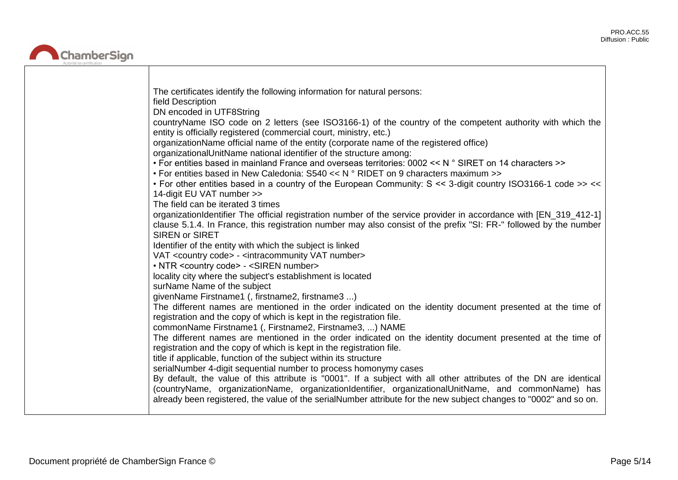ᄀ



| The certificates identify the following information for natural persons:<br>field Description                                                                                                                                                                                                                                                 |
|-----------------------------------------------------------------------------------------------------------------------------------------------------------------------------------------------------------------------------------------------------------------------------------------------------------------------------------------------|
| DN encoded in UTF8String<br>countryName ISO code on 2 letters (see ISO3166-1) of the country of the competent authority with which the<br>entity is officially registered (commercial court, ministry, etc.)                                                                                                                                  |
| organizationName official name of the entity (corporate name of the registered office)<br>organizationalUnitName national identifier of the structure among:                                                                                                                                                                                  |
| • For entities based in mainland France and overseas territories: 0002 << N ° SIRET on 14 characters >><br>• For entities based in New Caledonia: $S540 \ll N$ ° RIDET on 9 characters maximum >>                                                                                                                                             |
| . For other entities based in a country of the European Community: S << 3-digit country ISO3166-1 code >> <<<br>14-digit EU VAT number >>                                                                                                                                                                                                     |
| The field can be iterated 3 times<br>organizationIdentifier The official registration number of the service provider in accordance with [EN_319_412-1]<br>clause 5.1.4. In France, this registration number may also consist of the prefix "SI: FR-" followed by the number<br><b>SIREN or SIRET</b>                                          |
| Identifier of the entity with which the subject is linked                                                                                                                                                                                                                                                                                     |
| VAT <country code=""> - <intracommunity number="" vat=""><br/>• NTR <country code=""> - <siren number=""></siren></country></intracommunity></country>                                                                                                                                                                                        |
| locality city where the subject's establishment is located                                                                                                                                                                                                                                                                                    |
| surName Name of the subject                                                                                                                                                                                                                                                                                                                   |
| givenName Firstname1 (, firstname2, firstname3 )                                                                                                                                                                                                                                                                                              |
| The different names are mentioned in the order indicated on the identity document presented at the time of<br>registration and the copy of which is kept in the registration file.                                                                                                                                                            |
| commonName Firstname1 (, Firstname2, Firstname3, ) NAME<br>The different names are mentioned in the order indicated on the identity document presented at the time of<br>registration and the copy of which is kept in the registration file.                                                                                                 |
| title if applicable, function of the subject within its structure                                                                                                                                                                                                                                                                             |
| serialNumber 4-digit sequential number to process homonymy cases                                                                                                                                                                                                                                                                              |
| By default, the value of this attribute is "0001". If a subject with all other attributes of the DN are identical<br>(countryName, organizationName, organizationIdentifier, organizationalUnitName, and commonName) has<br>already been registered, the value of the serialNumber attribute for the new subject changes to "0002" and so on. |
|                                                                                                                                                                                                                                                                                                                                               |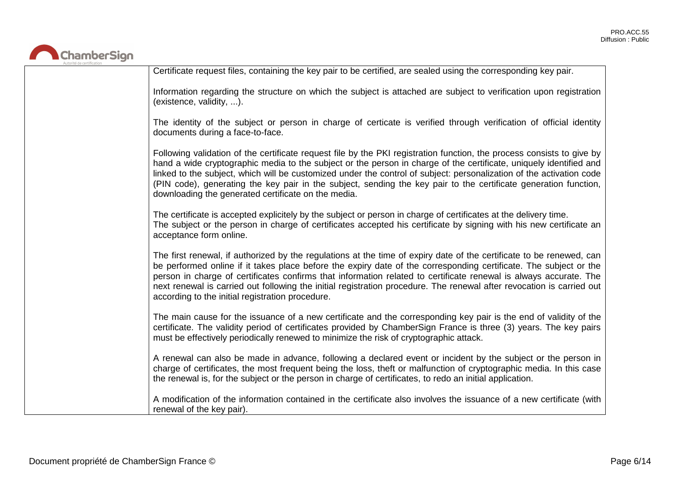

| Certificate request files, containing the key pair to be certified, are sealed using the corresponding key pair.                                                                                                                                                                                                                                                                                                                                                                                                                                |
|-------------------------------------------------------------------------------------------------------------------------------------------------------------------------------------------------------------------------------------------------------------------------------------------------------------------------------------------------------------------------------------------------------------------------------------------------------------------------------------------------------------------------------------------------|
| Information regarding the structure on which the subject is attached are subject to verification upon registration<br>(existence, validity, ).                                                                                                                                                                                                                                                                                                                                                                                                  |
| The identity of the subject or person in charge of certicate is verified through verification of official identity<br>documents during a face-to-face.                                                                                                                                                                                                                                                                                                                                                                                          |
| Following validation of the certificate request file by the PKI registration function, the process consists to give by<br>hand a wide cryptographic media to the subject or the person in charge of the certificate, uniquely identified and<br>linked to the subject, which will be customized under the control of subject: personalization of the activation code<br>(PIN code), generating the key pair in the subject, sending the key pair to the certificate generation function,<br>downloading the generated certificate on the media. |
| The certificate is accepted explicitely by the subject or person in charge of certificates at the delivery time.<br>The subject or the person in charge of certificates accepted his certificate by signing with his new certificate an<br>acceptance form online.                                                                                                                                                                                                                                                                              |
| The first renewal, if authorized by the regulations at the time of expiry date of the certificate to be renewed, can<br>be performed online if it takes place before the expiry date of the corresponding certificate. The subject or the<br>person in charge of certificates confirms that information related to certificate renewal is always accurate. The<br>next renewal is carried out following the initial registration procedure. The renewal after revocation is carried out<br>according to the initial registration procedure.     |
| The main cause for the issuance of a new certificate and the corresponding key pair is the end of validity of the<br>certificate. The validity period of certificates provided by ChamberSign France is three (3) years. The key pairs<br>must be effectively periodically renewed to minimize the risk of cryptographic attack.                                                                                                                                                                                                                |
| A renewal can also be made in advance, following a declared event or incident by the subject or the person in<br>charge of certificates, the most frequent being the loss, theft or malfunction of cryptographic media. In this case<br>the renewal is, for the subject or the person in charge of certificates, to redo an initial application.                                                                                                                                                                                                |
| A modification of the information contained in the certificate also involves the issuance of a new certificate (with<br>renewal of the key pair).                                                                                                                                                                                                                                                                                                                                                                                               |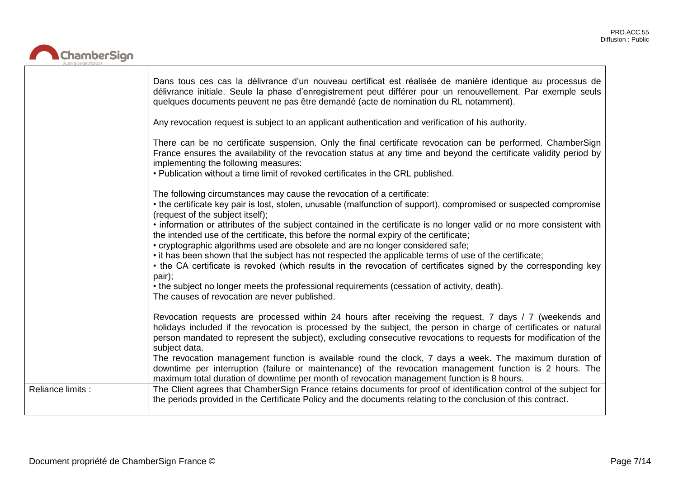ᄀ



|                   | Dans tous ces cas la délivrance d'un nouveau certificat est réalisée de manière identique au processus de<br>délivrance initiale. Seule la phase d'enregistrement peut différer pour un renouvellement. Par exemple seuls<br>quelques documents peuvent ne pas être demandé (acte de nomination du RL notamment).                                                                                                                                                                                                                                                                                                                                                                                                                                                              |
|-------------------|--------------------------------------------------------------------------------------------------------------------------------------------------------------------------------------------------------------------------------------------------------------------------------------------------------------------------------------------------------------------------------------------------------------------------------------------------------------------------------------------------------------------------------------------------------------------------------------------------------------------------------------------------------------------------------------------------------------------------------------------------------------------------------|
|                   | Any revocation request is subject to an applicant authentication and verification of his authority.                                                                                                                                                                                                                                                                                                                                                                                                                                                                                                                                                                                                                                                                            |
|                   | There can be no certificate suspension. Only the final certificate revocation can be performed. ChamberSign<br>France ensures the availability of the revocation status at any time and beyond the certificate validity period by<br>implementing the following measures:<br>• Publication without a time limit of revoked certificates in the CRL published.                                                                                                                                                                                                                                                                                                                                                                                                                  |
|                   | The following circumstances may cause the revocation of a certificate:<br>• the certificate key pair is lost, stolen, unusable (malfunction of support), compromised or suspected compromise<br>(request of the subject itself);<br>• information or attributes of the subject contained in the certificate is no longer valid or no more consistent with<br>the intended use of the certificate, this before the normal expiry of the certificate;<br>• cryptographic algorithms used are obsolete and are no longer considered safe;<br>• it has been shown that the subject has not respected the applicable terms of use of the certificate;<br>• the CA certificate is revoked (which results in the revocation of certificates signed by the corresponding key<br>pair); |
|                   | • the subject no longer meets the professional requirements (cessation of activity, death).<br>The causes of revocation are never published.                                                                                                                                                                                                                                                                                                                                                                                                                                                                                                                                                                                                                                   |
|                   | Revocation requests are processed within 24 hours after receiving the request, 7 days / 7 (weekends and<br>holidays included if the revocation is processed by the subject, the person in charge of certificates or natural<br>person mandated to represent the subject), excluding consecutive revocations to requests for modification of the<br>subject data.                                                                                                                                                                                                                                                                                                                                                                                                               |
|                   | The revocation management function is available round the clock, 7 days a week. The maximum duration of<br>downtime per interruption (failure or maintenance) of the revocation management function is 2 hours. The<br>maximum total duration of downtime per month of revocation management function is 8 hours.                                                                                                                                                                                                                                                                                                                                                                                                                                                              |
| Reliance limits : | The Client agrees that ChamberSign France retains documents for proof of identification control of the subject for<br>the periods provided in the Certificate Policy and the documents relating to the conclusion of this contract.                                                                                                                                                                                                                                                                                                                                                                                                                                                                                                                                            |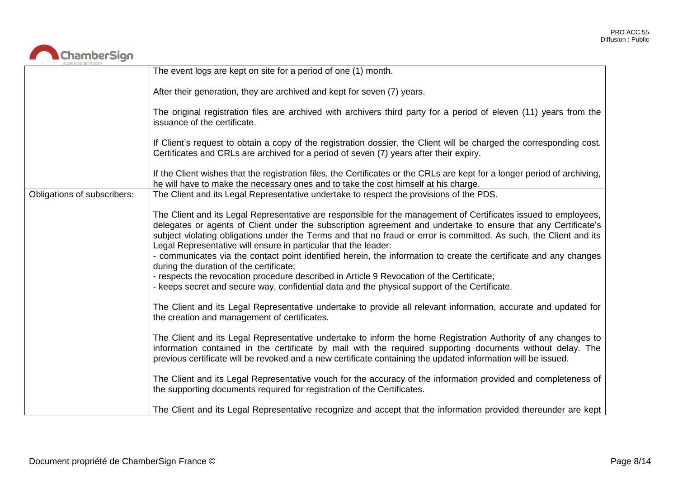

| Autorité de certification   |                                                                                                                                                                                                                                                                                                                                                                                                                                                                                                                                                                                                                                                                                                                                                                                         |
|-----------------------------|-----------------------------------------------------------------------------------------------------------------------------------------------------------------------------------------------------------------------------------------------------------------------------------------------------------------------------------------------------------------------------------------------------------------------------------------------------------------------------------------------------------------------------------------------------------------------------------------------------------------------------------------------------------------------------------------------------------------------------------------------------------------------------------------|
|                             | The event logs are kept on site for a period of one (1) month.                                                                                                                                                                                                                                                                                                                                                                                                                                                                                                                                                                                                                                                                                                                          |
|                             | After their generation, they are archived and kept for seven (7) years.                                                                                                                                                                                                                                                                                                                                                                                                                                                                                                                                                                                                                                                                                                                 |
|                             | The original registration files are archived with archivers third party for a period of eleven (11) years from the<br>issuance of the certificate.                                                                                                                                                                                                                                                                                                                                                                                                                                                                                                                                                                                                                                      |
|                             | If Client's request to obtain a copy of the registration dossier, the Client will be charged the corresponding cost.<br>Certificates and CRLs are archived for a period of seven (7) years after their expiry.                                                                                                                                                                                                                                                                                                                                                                                                                                                                                                                                                                          |
|                             | If the Client wishes that the registration files, the Certificates or the CRLs are kept for a longer period of archiving,<br>he will have to make the necessary ones and to take the cost himself at his charge.                                                                                                                                                                                                                                                                                                                                                                                                                                                                                                                                                                        |
| Obligations of subscribers: | The Client and its Legal Representative undertake to respect the provisions of the PDS.                                                                                                                                                                                                                                                                                                                                                                                                                                                                                                                                                                                                                                                                                                 |
|                             | The Client and its Legal Representative are responsible for the management of Certificates issued to employees,<br>delegates or agents of Client under the subscription agreement and undertake to ensure that any Certificate's<br>subject violating obligations under the Terms and that no fraud or error is committed. As such, the Client and its<br>Legal Representative will ensure in particular that the leader:<br>- communicates via the contact point identified herein, the information to create the certificate and any changes<br>during the duration of the certificate;<br>- respects the revocation procedure described in Article 9 Revocation of the Certificate;<br>- keeps secret and secure way, confidential data and the physical support of the Certificate. |
|                             | The Client and its Legal Representative undertake to provide all relevant information, accurate and updated for<br>the creation and management of certificates.                                                                                                                                                                                                                                                                                                                                                                                                                                                                                                                                                                                                                         |
|                             | The Client and its Legal Representative undertake to inform the home Registration Authority of any changes to<br>information contained in the certificate by mail with the required supporting documents without delay. The<br>previous certificate will be revoked and a new certificate containing the updated information will be issued.                                                                                                                                                                                                                                                                                                                                                                                                                                            |
|                             | The Client and its Legal Representative vouch for the accuracy of the information provided and completeness of<br>the supporting documents required for registration of the Certificates.                                                                                                                                                                                                                                                                                                                                                                                                                                                                                                                                                                                               |
|                             | The Client and its Legal Representative recognize and accept that the information provided thereunder are kept                                                                                                                                                                                                                                                                                                                                                                                                                                                                                                                                                                                                                                                                          |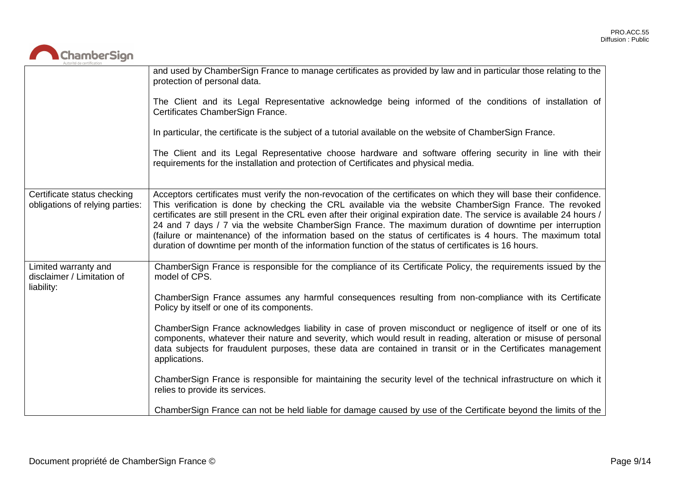

|                                                                  | and used by ChamberSign France to manage certificates as provided by law and in particular those relating to the<br>protection of personal data.<br>The Client and its Legal Representative acknowledge being informed of the conditions of installation of<br>Certificates ChamberSign France.<br>In particular, the certificate is the subject of a tutorial available on the website of ChamberSign France.<br>The Client and its Legal Representative choose hardware and software offering security in line with their<br>requirements for the installation and protection of Certificates and physical media.                                                                                                                                                                                                                                                                                                                  |
|------------------------------------------------------------------|--------------------------------------------------------------------------------------------------------------------------------------------------------------------------------------------------------------------------------------------------------------------------------------------------------------------------------------------------------------------------------------------------------------------------------------------------------------------------------------------------------------------------------------------------------------------------------------------------------------------------------------------------------------------------------------------------------------------------------------------------------------------------------------------------------------------------------------------------------------------------------------------------------------------------------------|
| Certificate status checking<br>obligations of relying parties:   | Acceptors certificates must verify the non-revocation of the certificates on which they will base their confidence.<br>This verification is done by checking the CRL available via the website ChamberSign France. The revoked<br>certificates are still present in the CRL even after their original expiration date. The service is available 24 hours /<br>24 and 7 days / 7 via the website ChamberSign France. The maximum duration of downtime per interruption<br>(failure or maintenance) of the information based on the status of certificates is 4 hours. The maximum total<br>duration of downtime per month of the information function of the status of certificates is 16 hours.                                                                                                                                                                                                                                      |
| Limited warranty and<br>disclaimer / Limitation of<br>liability: | ChamberSign France is responsible for the compliance of its Certificate Policy, the requirements issued by the<br>model of CPS.<br>ChamberSign France assumes any harmful consequences resulting from non-compliance with its Certificate<br>Policy by itself or one of its components.<br>ChamberSign France acknowledges liability in case of proven misconduct or negligence of itself or one of its<br>components, whatever their nature and severity, which would result in reading, alteration or misuse of personal<br>data subjects for fraudulent purposes, these data are contained in transit or in the Certificates management<br>applications.<br>ChamberSign France is responsible for maintaining the security level of the technical infrastructure on which it<br>relies to provide its services.<br>ChamberSign France can not be held liable for damage caused by use of the Certificate beyond the limits of the |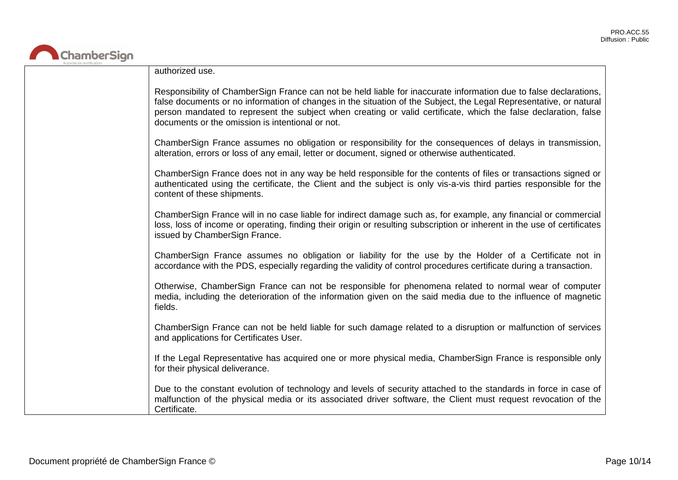

| authorized use.                                                                                                                                                                                                                                                                                                                                                                                                |
|----------------------------------------------------------------------------------------------------------------------------------------------------------------------------------------------------------------------------------------------------------------------------------------------------------------------------------------------------------------------------------------------------------------|
| Responsibility of ChamberSign France can not be held liable for inaccurate information due to false declarations,<br>false documents or no information of changes in the situation of the Subject, the Legal Representative, or natural<br>person mandated to represent the subject when creating or valid certificate, which the false declaration, false<br>documents or the omission is intentional or not. |
| ChamberSign France assumes no obligation or responsibility for the consequences of delays in transmission,<br>alteration, errors or loss of any email, letter or document, signed or otherwise authenticated.                                                                                                                                                                                                  |
| ChamberSign France does not in any way be held responsible for the contents of files or transactions signed or<br>authenticated using the certificate, the Client and the subject is only vis-a-vis third parties responsible for the<br>content of these shipments.                                                                                                                                           |
| ChamberSign France will in no case liable for indirect damage such as, for example, any financial or commercial<br>loss, loss of income or operating, finding their origin or resulting subscription or inherent in the use of certificates<br>issued by ChamberSign France.                                                                                                                                   |
| ChamberSign France assumes no obligation or liability for the use by the Holder of a Certificate not in<br>accordance with the PDS, especially regarding the validity of control procedures certificate during a transaction.                                                                                                                                                                                  |
| Otherwise, ChamberSign France can not be responsible for phenomena related to normal wear of computer<br>media, including the deterioration of the information given on the said media due to the influence of magnetic<br>fields.                                                                                                                                                                             |
| ChamberSign France can not be held liable for such damage related to a disruption or malfunction of services<br>and applications for Certificates User.                                                                                                                                                                                                                                                        |
| If the Legal Representative has acquired one or more physical media, ChamberSign France is responsible only<br>for their physical deliverance.                                                                                                                                                                                                                                                                 |
| Due to the constant evolution of technology and levels of security attached to the standards in force in case of<br>malfunction of the physical media or its associated driver software, the Client must request revocation of the<br>Certificate.                                                                                                                                                             |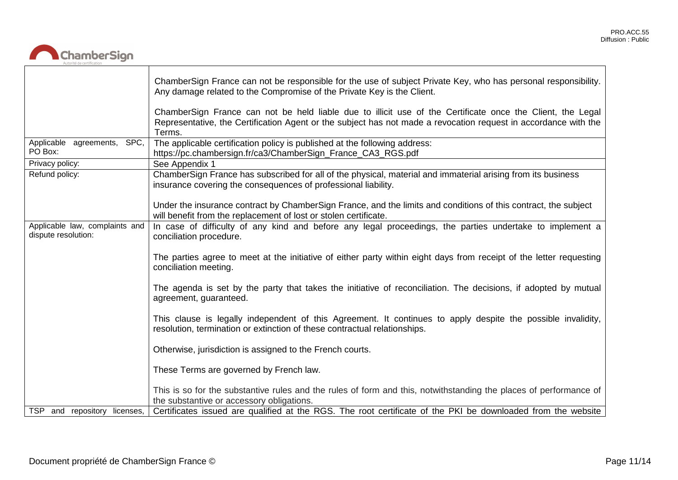

|                                                       | ChamberSign France can not be responsible for the use of subject Private Key, who has personal responsibility.<br>Any damage related to the Compromise of the Private Key is the Client.                                                |
|-------------------------------------------------------|-----------------------------------------------------------------------------------------------------------------------------------------------------------------------------------------------------------------------------------------|
|                                                       | ChamberSign France can not be held liable due to illicit use of the Certificate once the Client, the Legal<br>Representative, the Certification Agent or the subject has not made a revocation request in accordance with the<br>Terms. |
| Applicable agreements,<br>SPC,<br>PO Box:             | The applicable certification policy is published at the following address:                                                                                                                                                              |
|                                                       | https://pc.chambersign.fr/ca3/ChamberSign_France_CA3_RGS.pdf                                                                                                                                                                            |
| Privacy policy:                                       | See Appendix 1                                                                                                                                                                                                                          |
| Refund policy:                                        | ChamberSign France has subscribed for all of the physical, material and immaterial arising from its business<br>insurance covering the consequences of professional liability.                                                          |
|                                                       | Under the insurance contract by ChamberSign France, and the limits and conditions of this contract, the subject<br>will benefit from the replacement of lost or stolen certificate.                                                     |
| Applicable law, complaints and<br>dispute resolution: | In case of difficulty of any kind and before any legal proceedings, the parties undertake to implement a<br>conciliation procedure.                                                                                                     |
|                                                       | The parties agree to meet at the initiative of either party within eight days from receipt of the letter requesting<br>conciliation meeting.                                                                                            |
|                                                       | The agenda is set by the party that takes the initiative of reconciliation. The decisions, if adopted by mutual<br>agreement, guaranteed.                                                                                               |
|                                                       | This clause is legally independent of this Agreement. It continues to apply despite the possible invalidity,<br>resolution, termination or extinction of these contractual relationships.                                               |
|                                                       | Otherwise, jurisdiction is assigned to the French courts.                                                                                                                                                                               |
|                                                       | These Terms are governed by French law.                                                                                                                                                                                                 |
|                                                       | This is so for the substantive rules and the rules of form and this, notwithstanding the places of performance of<br>the substantive or accessory obligations.                                                                          |
| TSP and repository licenses,                          | Certificates issued are qualified at the RGS. The root certificate of the PKI be downloaded from the website                                                                                                                            |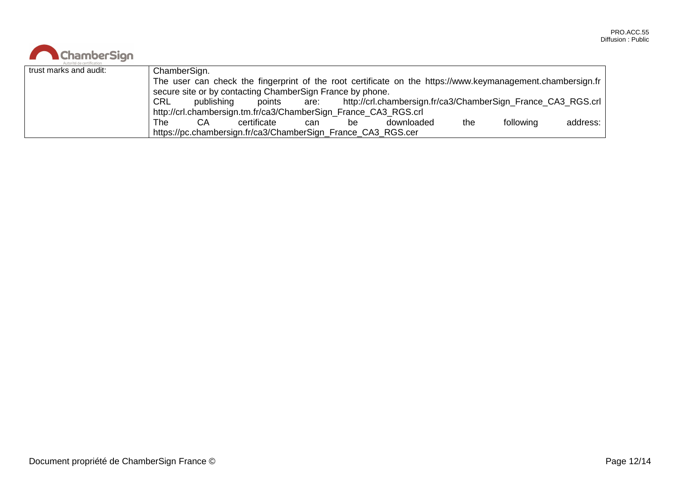| <b>ChamberSign</b>     |                                                                                                                                                                         |              |                                                              |     |    |            |     |           |          |  |
|------------------------|-------------------------------------------------------------------------------------------------------------------------------------------------------------------------|--------------|--------------------------------------------------------------|-----|----|------------|-----|-----------|----------|--|
| trust marks and audit: |                                                                                                                                                                         | ChamberSign. |                                                              |     |    |            |     |           |          |  |
|                        | The user can check the fingerprint of the root certificate on the https://www.keymanagement.chambersign.fr<br>secure site or by contacting ChamberSign France by phone. |              |                                                              |     |    |            |     |           |          |  |
|                        | points are: http://crl.chambersign.fr/ca3/ChamberSign_France_CA3_RGS.crl  <br>CRL<br>publishing                                                                         |              |                                                              |     |    |            |     |           |          |  |
|                        | http://crl.chambersign.tm.fr/ca3/ChamberSign_France_CA3_RGS.crl                                                                                                         |              |                                                              |     |    |            |     |           |          |  |
|                        | The                                                                                                                                                                     | CA.          | certificate                                                  | can | be | downloaded | the | following | address: |  |
|                        |                                                                                                                                                                         |              | https://pc.chambersign.fr/ca3/ChamberSign_France_CA3_RGS.cer |     |    |            |     |           |          |  |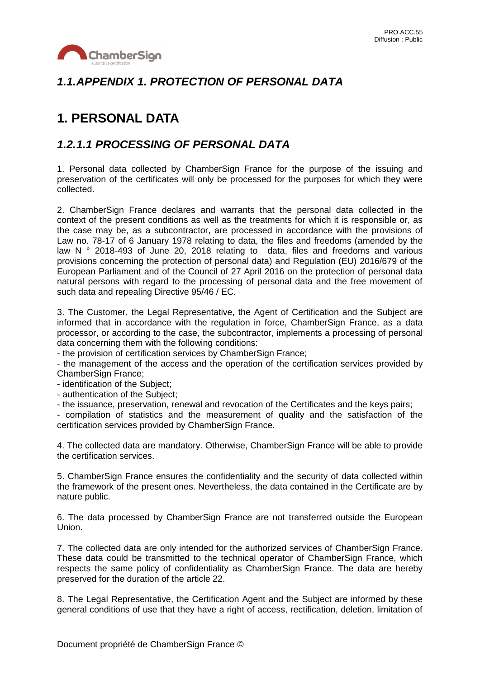

## *1.1.APPENDIX 1. PROTECTION OF PERSONAL DATA*

# **1. PERSONAL DATA**

### *1.2.1.1 PROCESSING OF PERSONAL DATA*

1. Personal data collected by ChamberSign France for the purpose of the issuing and preservation of the certificates will only be processed for the purposes for which they were collected.

2. ChamberSign France declares and warrants that the personal data collected in the context of the present conditions as well as the treatments for which it is responsible or, as the case may be, as a subcontractor, are processed in accordance with the provisions of Law no. 78-17 of 6 January 1978 relating to data, the files and freedoms (amended by the law N ° 2018-493 of June 20, 2018 relating to data, files and freedoms and various provisions concerning the protection of personal data) and Regulation (EU) 2016/679 of the European Parliament and of the Council of 27 April 2016 on the protection of personal data natural persons with regard to the processing of personal data and the free movement of such data and repealing Directive 95/46 / EC.

3. The Customer, the Legal Representative, the Agent of Certification and the Subject are informed that in accordance with the regulation in force, ChamberSign France, as a data processor, or according to the case, the subcontractor, implements a processing of personal data concerning them with the following conditions:

- the provision of certification services by ChamberSign France;

- the management of the access and the operation of the certification services provided by ChamberSign France;

- identification of the Subject;

- authentication of the Subject;

- the issuance, preservation, renewal and revocation of the Certificates and the keys pairs;

- compilation of statistics and the measurement of quality and the satisfaction of the certification services provided by ChamberSign France.

4. The collected data are mandatory. Otherwise, ChamberSign France will be able to provide the certification services.

5. ChamberSign France ensures the confidentiality and the security of data collected within the framework of the present ones. Nevertheless, the data contained in the Certificate are by nature public.

6. The data processed by ChamberSign France are not transferred outside the European Union.

7. The collected data are only intended for the authorized services of ChamberSign France. These data could be transmitted to the technical operator of ChamberSign France, which respects the same policy of confidentiality as ChamberSign France. The data are hereby preserved for the duration of the article 22.

8. The Legal Representative, the Certification Agent and the Subject are informed by these general conditions of use that they have a right of access, rectification, deletion, limitation of